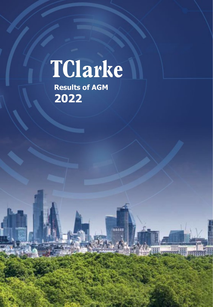# TClarke

,,,,,

**Results of AGM 2022**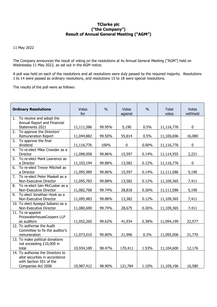# **TClarke plc ("the Company") Result of Annual General Meeting ("AGM")**

11 May 2022

The Company announces the result of voting on the resolutions at its Annual General Meeting ("AGM") held on Wednesday 11 May 2022, as set out in the AGM notice.

A poll was held on each of the resolutions and all resolutions were duly passed by the required majority. Resolutions 1 to 14 were passed as ordinary resolutions, and resolutions 15 to 18 were special resolutions.

The results of the poll were as follows:

| <b>Ordinary Resolutions</b> |                                                                                                                      | <b>Votes</b><br>for | $\frac{0}{0}$ | <b>Votes</b><br>against | $\frac{0}{0}$ | <b>Total</b><br>votes | <b>Votes</b><br>withheld |
|-----------------------------|----------------------------------------------------------------------------------------------------------------------|---------------------|---------------|-------------------------|---------------|-----------------------|--------------------------|
| 1.                          | To receive and adopt the<br>Annual Report and Financial<br>Statements 2021                                           | 11,111,586          | 99.95%        | 5,190                   | 0.5%          | 11,116,776            | $\mathbf 0$              |
| 2.                          | To approve the Directors'<br><b>Remuneration Report</b>                                                              | 11,044,882          | 99.50%        | 55,814                  | 0.5%          | 11,100,696            | 16,080                   |
| 3.                          | To approve the final<br>dividend                                                                                     | 11,116,776          | 100%          | 0                       | 0.00%         | 11,116,776            | $\pmb{0}$                |
| 4.                          | To re-elect Mike Crowder as a<br>Director                                                                            | 11,098,958          | 99.86%        | 15,597                  | 0.14%         | 11,114,555            | 2,221                    |
| 5.                          | To re-elect Mark Lawrence as<br>a Director                                                                           | 11,103,194          | 99.88%        | 13,582                  | 0.12%         | 11,116,776            | 0                        |
| 6.                          | To re-elect Trevor Mitchell as<br>a Director                                                                         | 11,095,989          | 99.86%        | 15,597                  | 0.14%         | 11,111,586            | 5,190                    |
| 7.                          | To re-elect Peter Maskell as a<br>Non-Executive Director                                                             | 11,095,783          | 99.88%        | 13,582                  | 0.12%         | 11,109,365            | 7,411                    |
| 8.                          | To re-elect Iain McCusker as a<br>Non-Executive Director                                                             | 11,082,768          | 99.74%        | 28,818                  | 0.26%         | 11,111,586            | 5,190                    |
| 9.                          | To elect Jonathan Hook as a<br>Non-Executive Director                                                                | 11,095,983          | 99.88%        | 13,382                  | 0.12%         | 11,109,365            | 7,411                    |
|                             | 10. To elect Aysegul Sabanci as a<br>Non-Executive Director                                                          | 11,080,690          | 99.74%        | 28,675                  | 0.26%         | 11,109,365            | 7,411                    |
|                             | 11. To re-appoint<br>PricewaterhouseCoopers LLP<br>as auditors                                                       | 11,052,265          | 99.62%        | 41,934                  | 0.38%         | 11,094,199            | 22,577                   |
|                             | 12. To authorise the Audit<br>Committee to fix the auditor's<br>remuneration                                         | 11,073,010          | 99.80%        | 21,996                  | 0.2%          | 11,095,006            | 21,770                   |
|                             | 13. To make political donations<br>not exceeding £10,000 in<br>total                                                 | 10,934,189          | 98.47%        | 170,411                 | 1.53%         | 11,104,600            | 12,176                   |
|                             | 14. To authorise the Directors to<br>allot securities in accordance<br>with Section 551 of the<br>Companies Act 2006 | 10,987,412          | 98.90%        | 121,784                 | 1.10%         | 11,109,196            | 16,580                   |